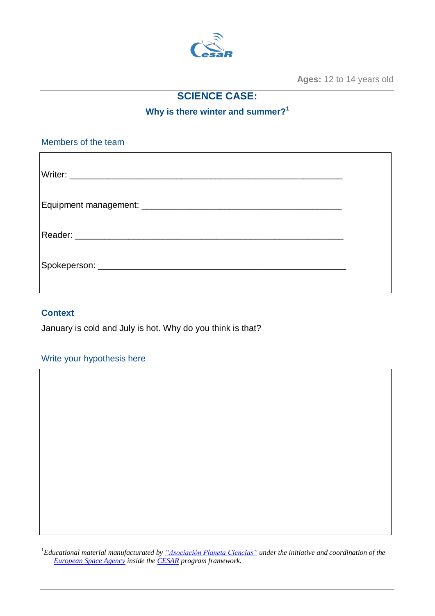

**Ages:** 12 to 14 years old

# **SCIENCE CASE:**

**Why is there winter and summer? 1**

Members of the team Writer: \_\_\_\_\_\_\_\_\_\_\_\_\_\_\_\_\_\_\_\_\_\_\_\_\_\_\_\_\_\_\_\_\_\_\_\_\_\_\_\_\_\_\_\_\_\_\_\_\_\_\_\_\_\_\_\_ Equipment management: \_\_\_\_\_\_\_\_\_\_\_\_\_\_\_\_\_\_\_\_\_\_\_\_\_\_\_\_\_\_\_\_\_\_\_\_\_\_\_\_\_ Reader: \_\_\_\_\_\_\_\_\_\_\_\_\_\_\_\_\_\_\_\_\_\_\_\_\_\_\_\_\_\_\_\_\_\_\_\_\_\_\_\_\_\_\_\_\_\_\_\_\_\_\_\_\_\_\_ Spokeperson: \_\_\_\_\_\_\_\_\_\_\_\_\_\_\_\_\_\_\_\_\_\_\_\_\_\_\_\_\_\_\_\_\_\_\_\_\_\_\_\_\_\_\_\_\_\_\_\_\_\_\_

## **Context**

<u>.</u>

January is cold and July is hot. Why do you think is that?

#### Write your hypothesis here

<sup>1</sup>*Educational material manufacturated b[y "Asociación Planeta Ciencias"](http://planetaciencias.es/) under the initiative and coordination of the [European Space Agency](https://www.esa.int/) inside the [CESAR](http://cesar.esa.int/) program framework.*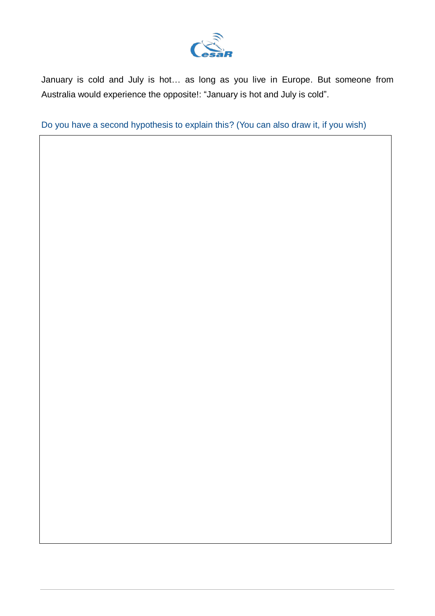

January is cold and July is hot… as long as you live in Europe. But someone from Australia would experience the opposite!: "January is hot and July is cold".

Do you have a second hypothesis to explain this? (You can also draw it, if you wish)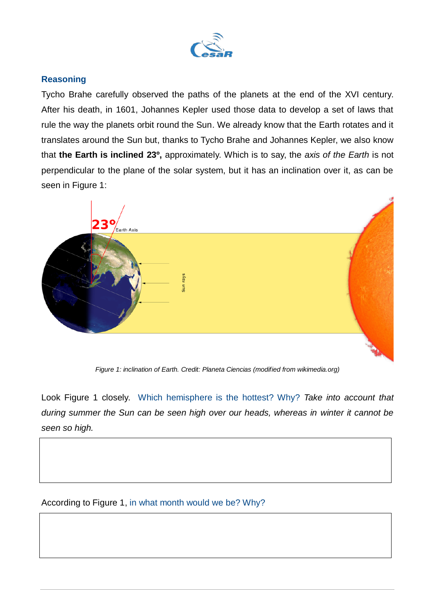

## **Reasoning**

Tycho Brahe carefully observed the paths of the planets at the end of the XVI century. After his death, in 1601, Johannes Kepler used those data to develop a set of laws that rule the way the planets orbit round the Sun. We already know that the Earth rotates and it translates around the Sun but, thanks to Tycho Brahe and Johannes Kepler, we also know that **the Earth is inclined 23º,** approximately. Which is to say, the *axis of the Earth* is not perpendicular to the plane of the solar system, but it has an inclination over it, as can be seen in Figure 1:



*Figure 1: inclination of Earth. Credit: Planeta Ciencias (modified from wikimedia.org)*

Look Figure 1 closely. Which hemisphere is the hottest? Why? *Take into account that during summer the Sun can be seen high over our heads, whereas in winter it cannot be seen so high.*

According to Figure 1, in what month would we be? Why?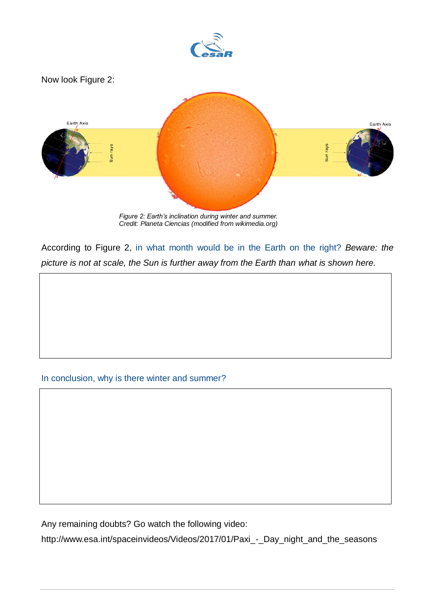

According to Figure 2, in what month would be in the Earth on the right? *Beware: the*

*picture is not at scale, the Sun is further away from the Earth than what is shown here.*

#### In conclusion, why is there winter and summer?

Any remaining doubts? Go watch the following video:

[http://www.esa.int/spaceinvideos/Videos/2017/01/Paxi\\_-\\_Day\\_night\\_and\\_the\\_seasons](https://www.esa.int/spaceinvideos/Videos/2017/01/Paxi_-_Day_night_and_the_seasons/(lang)/es)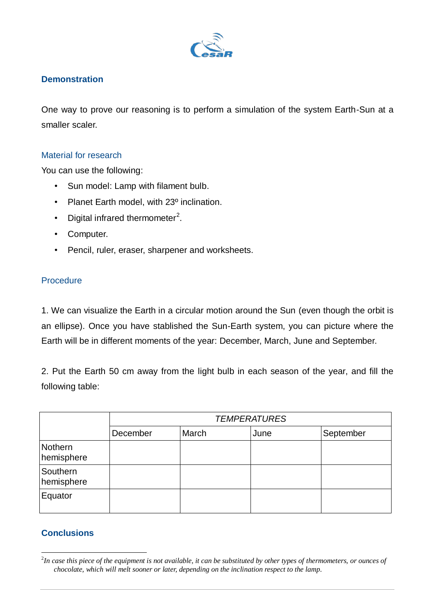

## **Demonstration**

One way to prove our reasoning is to perform a simulation of the system Earth-Sun at a smaller scaler.

#### Material for research

You can use the following:

- Sun model: Lamp with filament bulb.
- Planet Earth model, with 23<sup>°</sup> inclination.
- Digital infrared thermometer<sup>2</sup>.
- Computer.
- Pencil, ruler, eraser, sharpener and worksheets.

### **Procedure**

1. We can visualize the Earth in a circular motion around the Sun (even though the orbit is an ellipse). Once you have stablished the Sun-Earth system, you can picture where the Earth will be in different moments of the year: December, March, June and September.

2. Put the Earth 50 cm away from the light bulb in each season of the year, and fill the following table:

|                        | <b>TEMPERATURES</b> |       |      |           |
|------------------------|---------------------|-------|------|-----------|
|                        | December            | March | June | September |
| Nothern<br>hemisphere  |                     |       |      |           |
| Southern<br>hemisphere |                     |       |      |           |
| Equator                |                     |       |      |           |

# **Conclusions**

<sup>&</sup>lt;u>.</u> 2 *In case this piece of the equipment is not available, it can be substituted by other types of thermometers, or ounces of chocolate, which will melt sooner or later, depending on the inclination respect to the lamp.*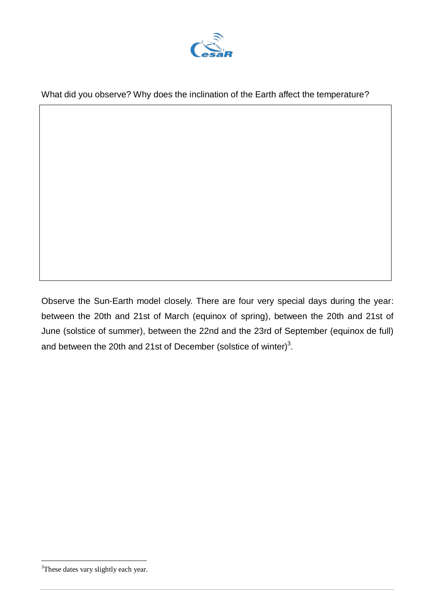

What did you observe? Why does the inclination of the Earth affect the temperature?

Observe the Sun-Earth model closely. There are four very special days during the year: between the 20th and 21st of March (equinox of spring), between the 20th and 21st of June (solstice of summer), between the 22nd and the 23rd of September (equinox de full) and between the 20th and 21st of December (solstice of winter)<sup>3</sup>.

<sup>1</sup> <sup>3</sup>These dates vary slightly each year.